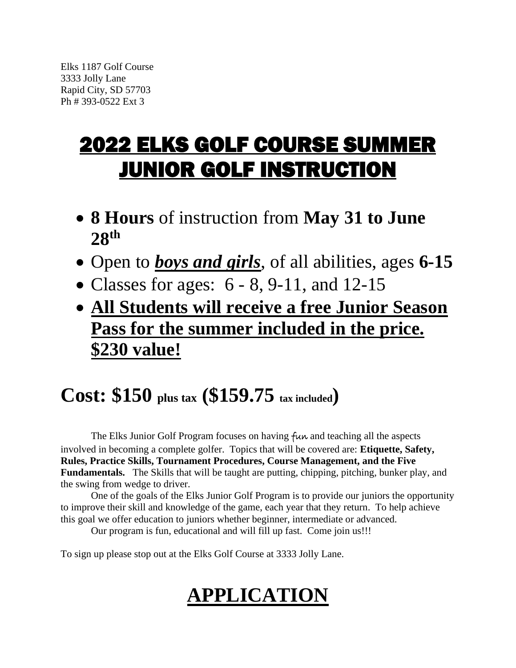## 2022 ELKS GOLF COURSE SUMMER JUNIOR GOLF INSTRUCTION

- **8 Hours** of instruction from **May 31 to June 28 th**
- Open to *boys and girls*, of all abilities, ages **6-15**
- Classes for ages:  $6 8$ , 9-11, and 12-15
- **All Students will receive a free Junior Season Pass for the summer included in the price. \$230 value!**

## **Cost: \$150 plus tax (\$159.75 tax included)**

The Elks Junior Golf Program focuses on having fun and teaching all the aspects involved in becoming a complete golfer. Topics that will be covered are: **Etiquette, Safety, Rules, Practice Skills, Tournament Procedures, Course Management, and the Five Fundamentals.** The Skills that will be taught are putting, chipping, pitching, bunker play, and the swing from wedge to driver.

One of the goals of the Elks Junior Golf Program is to provide our juniors the opportunity to improve their skill and knowledge of the game, each year that they return. To help achieve this goal we offer education to juniors whether beginner, intermediate or advanced.

Our program is fun, educational and will fill up fast. Come join us!!!

To sign up please stop out at the Elks Golf Course at 3333 Jolly Lane.

## **APPLICATION**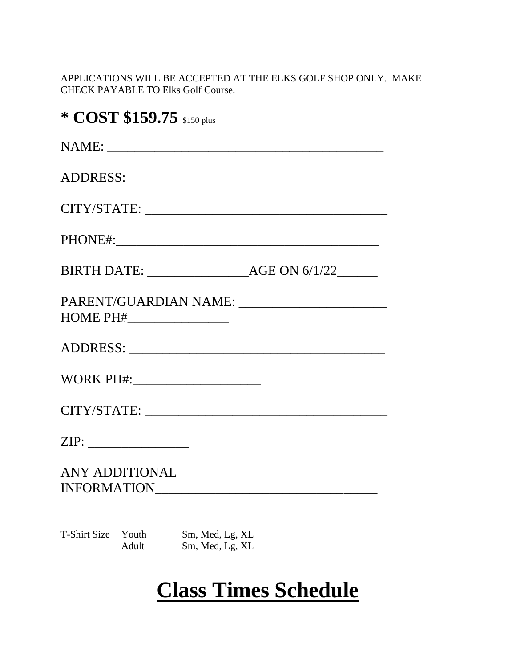APPLICATIONS WILL BE ACCEPTED AT THE ELKS GOLF SHOP ONLY. MAKE CHECK PAYABLE TO Elks Golf Course.

|              | * COST \$159.75 \$150 plus    |                                    |  |
|--------------|-------------------------------|------------------------------------|--|
|              |                               |                                    |  |
|              |                               |                                    |  |
|              |                               |                                    |  |
|              |                               |                                    |  |
|              |                               |                                    |  |
|              |                               |                                    |  |
|              |                               |                                    |  |
|              |                               |                                    |  |
|              |                               |                                    |  |
|              |                               |                                    |  |
|              | ANY ADDITIONAL<br>INFORMATION |                                    |  |
| T-Shirt Size | Youth<br>Adult                | Sm, Med, Lg, XL<br>Sm, Med, Lg, XL |  |

## **Class Times Schedule**